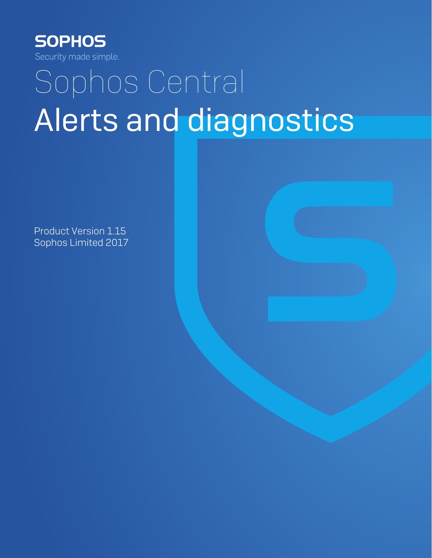

# Sophos Central Alerts and diagnostics

Product Version 1.15 Sophos Limited 2017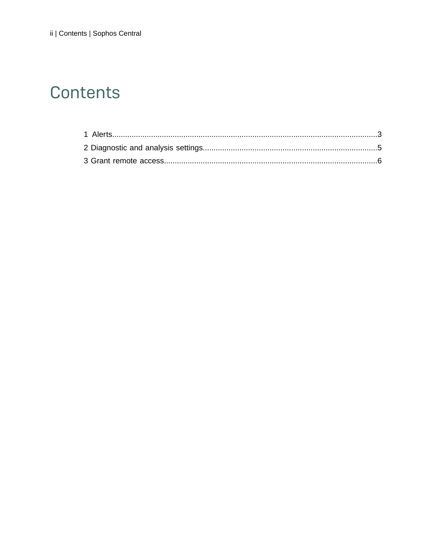# Contents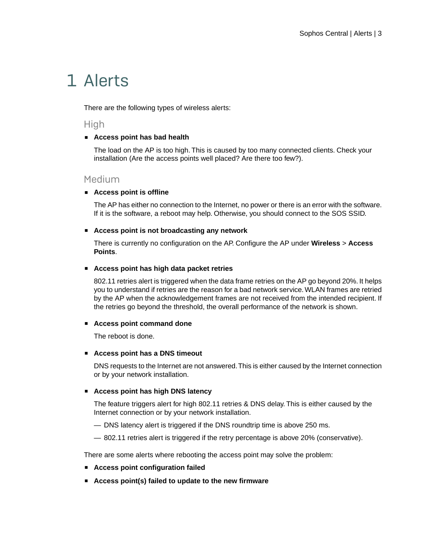# <span id="page-2-0"></span>1 Alerts

There are the following types of wireless alerts:

**High** 

### ■ **Access point has bad health**

The load on the AP is too high. This is caused by too many connected clients. Check your installation (Are the access points well placed? Are there too few?).

### Medium

### ■ **Access point is offline**

The AP has either no connection to the Internet, no power or there is an error with the software. If it is the software, a reboot may help. Otherwise, you should connect to the SOS SSID.

#### ■ **Access point is not broadcasting any network**

There is currently no configuration on the AP. Configure the AP under **Wireless** > **Access Points**.

#### ■ **Access point has high data packet retries**

802.11 retries alert is triggered when the data frame retries on the AP go beyond 20%. It helps you to understand if retries are the reason for a bad network service.WLAN frames are retried by the AP when the acknowledgement frames are not received from the intended recipient. If the retries go beyond the threshold, the overall performance of the network is shown.

### ■ **Access point command done**

The reboot is done.

#### ■ **Access point has a DNS timeout**

DNS requests to the Internet are not answered.This is either caused by the Internet connection or by your network installation.

### ■ **Access point has high DNS latency**

The feature triggers alert for high 802.11 retries & DNS delay. This is either caused by the Internet connection or by your network installation.

- DNS latency alert is triggered if the DNS roundtrip time is above 250 ms.
- 802.11 retries alert is triggered if the retry percentage is above 20% (conservative).

There are some alerts where rebooting the access point may solve the problem:

- **Access point configuration failed**
- **Access point(s) failed to update to the new firmware**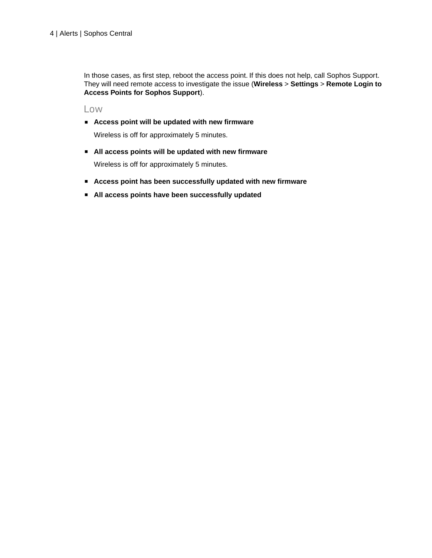In those cases, as first step, reboot the access point. If this does not help, call Sophos Support. They will need remote access to investigate the issue (**Wireless** > **Settings** > **Remote Login to Access Points for Sophos Support**).

Low

■ **Access point will be updated with new firmware**

Wireless is off for approximately 5 minutes.

■ **All access points will be updated with new firmware**

Wireless is off for approximately 5 minutes.

- **Access point has been successfully updated with new firmware**
- **All access points have been successfully updated**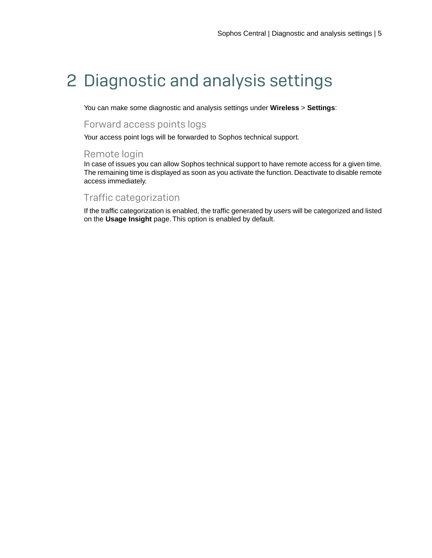# <span id="page-4-0"></span>2 Diagnostic and analysis settings

You can make some diagnostic and analysis settings under **Wireless** > **Settings**:

# Forward access points logs

Your access point logs will be forwarded to Sophos technical support.

## Remote login

In case of issues you can allow Sophos technical support to have remote access for a given time. The remaining time is displayed as soon as you activate the function. Deactivate to disable remote access immediately.

# Traffic categorization

If the traffic categorization is enabled, the traffic generated by users will be categorized and listed on the **Usage Insight** page. This option is enabled by default.